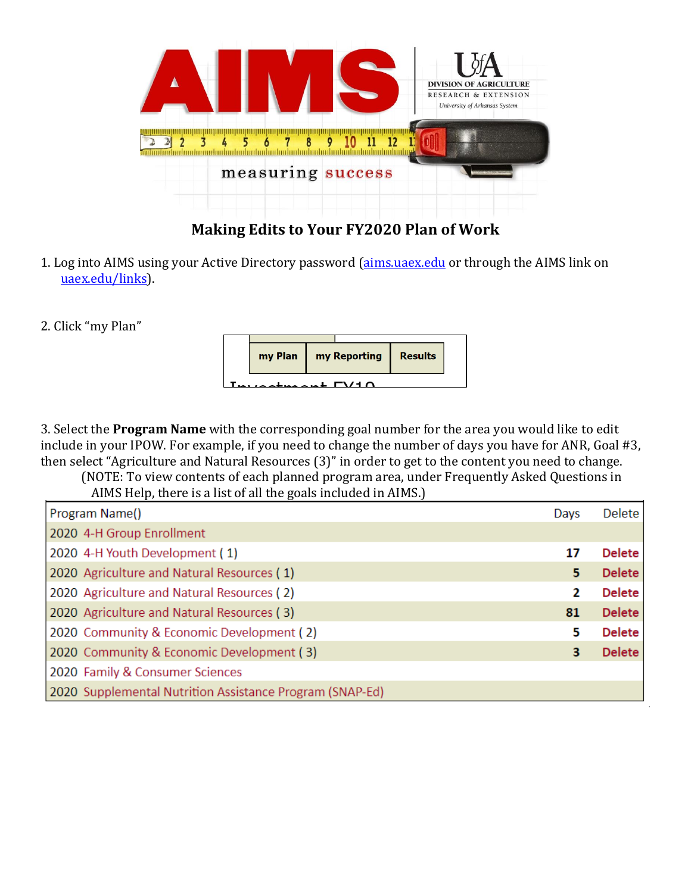

## **Making Edits to Your FY2020 Plan of Work**

1. Log into AIMS using your Active Directory password [\(aims.uaex.edu](https://aims.uaex.edu/) or through the AIMS link on [uaex.edu/links\)](https://www.uaex.edu/support-units/information-technology/links/default.aspx).

2. Click "my Plan"



3. Select the **Program Name** with the corresponding goal number for the area you would like to edit include in your IPOW. For example, if you need to change the number of days you have for ANR, Goal #3, then select "Agriculture and Natural Resources (3)" in order to get to the content you need to change.

(NOTE: To view contents of each planned program area, under Frequently Asked Questions in AIMS Help, there is a list of all the goals included in AIMS.)

| Program Name()                                           | Days | Delete        |
|----------------------------------------------------------|------|---------------|
| 2020 4-H Group Enrollment                                |      |               |
| 2020 4-H Youth Development (1)                           | 17   | <b>Delete</b> |
| 2020 Agriculture and Natural Resources (1)               | 5.   | <b>Delete</b> |
| 2020 Agriculture and Natural Resources (2)               | 2    | <b>Delete</b> |
| 2020 Agriculture and Natural Resources (3)               | 81   | <b>Delete</b> |
| 2020 Community & Economic Development (2)                | 5.   | <b>Delete</b> |
| 2020 Community & Economic Development (3)                | 3.   | <b>Delete</b> |
| 2020 Family & Consumer Sciences                          |      |               |
| 2020 Supplemental Nutrition Assistance Program (SNAP-Ed) |      |               |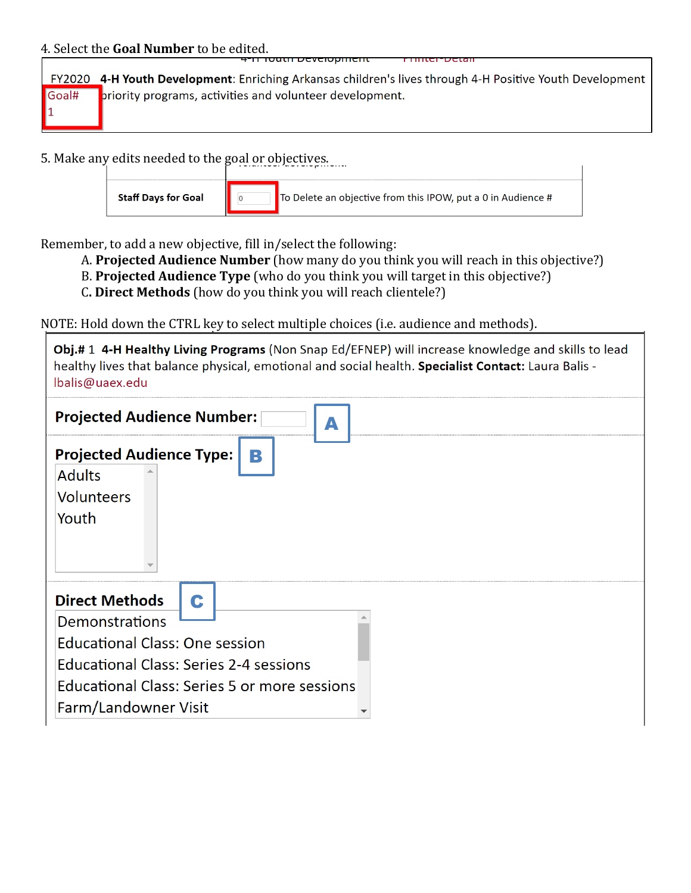## 4. Select the **Goal Number** to be edited. <del>aun bevelopment</del>

FY2020 4-H Youth Development: Enriching Arkansas children's lives through 4-H Positive Youth Development priority programs, activities and volunteer development. Goal# 1

5. Make any edits needed to the goal or objectives.

Remember, to add a new objective, fill in/select the following:

- A. **Projected Audience Number** (how many do you think you will reach in this objective?)
- B. **Projected Audience Type** (who do you think you will target in this objective?)
- C**. Direct Methods** (how do you think you will reach clientele?)

NOTE: Hold down the CTRL key to select multiple choices (i.e. audience and methods).

Obj.# 1 4-H Healthy Living Programs (Non Snap Ed/EFNEP) will increase knowledge and skills to lead healthy lives that balance physical, emotional and social health. Specialist Contact: Laura Balis -Ibalis@uaex.edu

| <b>Projected Audience Number:</b><br>Δ                                                                                                                                                                                |  |  |  |  |
|-----------------------------------------------------------------------------------------------------------------------------------------------------------------------------------------------------------------------|--|--|--|--|
| <b>Projected Audience Type:</b><br>B<br><b>Adults</b><br><b>Volunteers</b><br>Youth                                                                                                                                   |  |  |  |  |
| <b>Direct Methods</b><br>C<br>Demonstrations<br><b>Educational Class: One session</b><br><b>Educational Class: Series 2-4 sessions</b><br><b>Educational Class: Series 5 or more sessions</b><br>Farm/Landowner Visit |  |  |  |  |